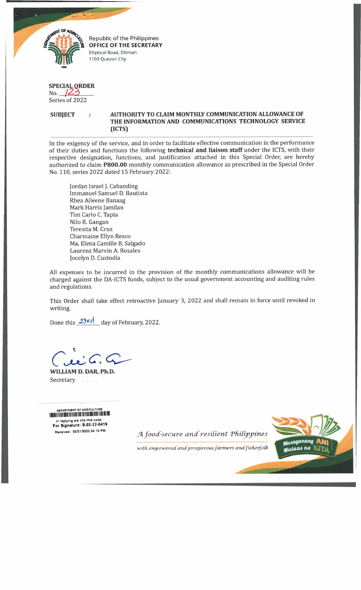

Republic of the Philippines **OFFICE OF THE SECRETARY** Elliptical Road, Diliman 1100 Quezon City

## **SPECIAL ORDER** No. *JZS*\_ \_ \_ \_

Series of 2022

**SUBJECT AUTHORITY TO CLAIM MONTHLY COMMUNICATION ALLOWANCE OF THE INFORMATION AND COMMUNICATIONS TECHNOLOGY SERVICE (ICTS)**

In the exigency of the service, and in order to facilitate effective communication in the performance of their duties and functions the following **technical and liaison staff** under the ICTS, with their respective designation, functions, and justification attached in this Special Order, are hereby authorized to claim **P800.00** monthly communication allowance as prescribed in the Special Order No. 110, series 2022 dated 15 February 2022:

Jordan Israel J. Cabanding Immanuel Samuel D. Bautista Rhea Aileene Banaag Mark Harris Jamilan Tim Carlo C. Tapia Nilo R. Gangan Teresita M. Cruz Charmaine Ellyn Resco Ma. Elena Camille B. Salgado Laurenz Marvin A. Rosales Jocelyn D. Custodia

All expenses to be incurred in the provision of the monthly communications allowance will be charged against the DA-ICTS funds, subject to the usual government accounting and auditing rules and regulations.

This Order shall take effect retroactive January 3, 2022 and shall remain in force until revoked in writing.

Done this  $23 \text{yd}$  day of February, 2022.

**WILLIAM D. DAR, Ph.D.** Secretary

DEPARTMENT OF AGRICULTURE i i i i i i i i n i i u i i i i i n i i n i i i i i i i i i i i i i i i i i n i i i i i i i i i i i i i i i i in replying pls cite this code :<br>For Signature: S-02-22-0419

Received : 02/21/2022 04:12 PM *A food-secure and resilient Philippines* 

with empowered and prosperous farmers and fisherfolk

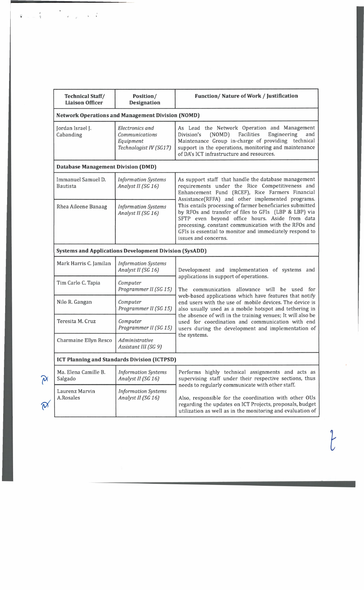| <b>Technical Staff/</b><br><b>Liaison Officer</b>             | Position/<br><b>Designation</b>                                                 | Function/Nature of Work / Justification                                                                                                                                                                                                                                                                                                                                                                                                                                                                                           |  |
|---------------------------------------------------------------|---------------------------------------------------------------------------------|-----------------------------------------------------------------------------------------------------------------------------------------------------------------------------------------------------------------------------------------------------------------------------------------------------------------------------------------------------------------------------------------------------------------------------------------------------------------------------------------------------------------------------------|--|
| <b>Network Operations and Management Division (NOMD)</b>      |                                                                                 |                                                                                                                                                                                                                                                                                                                                                                                                                                                                                                                                   |  |
| Jordan Israel J.<br>Cabanding                                 | <b>Electronics</b> and<br>Communications<br>Equipment<br>Technologist IV (SG17) | As Lead the Network Operation and Management<br>Engineering<br>(NOMD)<br>Facilities<br>and<br>Division's<br>Maintenance Group in-charge of providing technical<br>support in the operations, monitoring and maintenance<br>of DA's ICT infrastructure and resources.                                                                                                                                                                                                                                                              |  |
| <b>Database Management Division (DMD)</b>                     |                                                                                 |                                                                                                                                                                                                                                                                                                                                                                                                                                                                                                                                   |  |
| Immanuel Samuel D.<br><b>Bautista</b>                         | <b>Information Systems</b><br>Analyst II (SG 16)                                | As support staff that handle the database management<br>requirements under the Rice Competitiveness and<br>Enhancement Fund (RCEF), Rice Farmers Financial<br>Assistance(RFFA) and other implemented programs.<br>This entails processing of farmer beneficiaries submitted<br>by RFOs and transfer of files to GFIs (LBP & LBP) via<br>SFTP even beyond office hours. Aside from data<br>processing, constant communication with the RFOs and<br>GFIs is essential to monitor and immediately respond to<br>issues and concerns. |  |
| Rhea Aileene Banaag                                           | <b>Information Systems</b><br>Analyst II (SG 16)                                |                                                                                                                                                                                                                                                                                                                                                                                                                                                                                                                                   |  |
| <b>Systems and Applications Development Division (SysADD)</b> |                                                                                 |                                                                                                                                                                                                                                                                                                                                                                                                                                                                                                                                   |  |
| Mark Harris C. Jamilan                                        | <b>Information Systems</b><br>Analyst II (SG 16)                                | Development and implementation of systems and<br>applications in support of operations.<br>The communication allowance will<br>be used for<br>web-based applications which have features that notify<br>end users with the use of mobile devices. The device is<br>also usually used as a mobile hotspot and tethering in<br>the absence of wifi in the training venues; It will also be<br>used for coordination and communication with end<br>users during the development and implementation of<br>the systems.                |  |
| Tim Carlo C. Tapia                                            | Computer<br>Programmer II (SG 15)                                               |                                                                                                                                                                                                                                                                                                                                                                                                                                                                                                                                   |  |
| Nilo R. Gangan                                                | Computer<br>Programmer II (SG 15)                                               |                                                                                                                                                                                                                                                                                                                                                                                                                                                                                                                                   |  |
| Teresita M. Cruz                                              | Computer<br>Programmer II (SG 15)                                               |                                                                                                                                                                                                                                                                                                                                                                                                                                                                                                                                   |  |
| Charmaine Ellyn Resco                                         | Administrative<br>Assistant III (SG 9)                                          |                                                                                                                                                                                                                                                                                                                                                                                                                                                                                                                                   |  |
| <b>ICT Planning and Standards Division (ICTPSD)</b>           |                                                                                 |                                                                                                                                                                                                                                                                                                                                                                                                                                                                                                                                   |  |
| Ma. Elena Camille B.<br>Salgado                               | <b>Information Systems</b><br>Analyst II (SG 16)                                | Performs highly technical assignments and acts as<br>supervising staff under their respective sections, thus<br>needs to regularly communicate with other staff.<br>Also, responsible for the coordination with other OUs<br>regarding the updates on ICT Projects, proposals, budget<br>utilization as well as in the monitoring and evaluation of                                                                                                                                                                               |  |
| Laurenz Marvin<br>A.Rosales                                   | <b>Information Systems</b><br>Analyst II (SG 16)                                |                                                                                                                                                                                                                                                                                                                                                                                                                                                                                                                                   |  |

 $\label{eq:2.1} \frac{1}{\sqrt{2\pi}}\frac{1}{\sqrt{2\pi}}\left(\frac{1}{\sqrt{2\pi}}\right)^{1/2}$ 

 $\begin{array}{cc} \hat{\mathbf{r}} & \mathbf{r} \\ \hat{\mathbf{r}} & \mathbf{r} \end{array}$ 

 $\overline{t}$